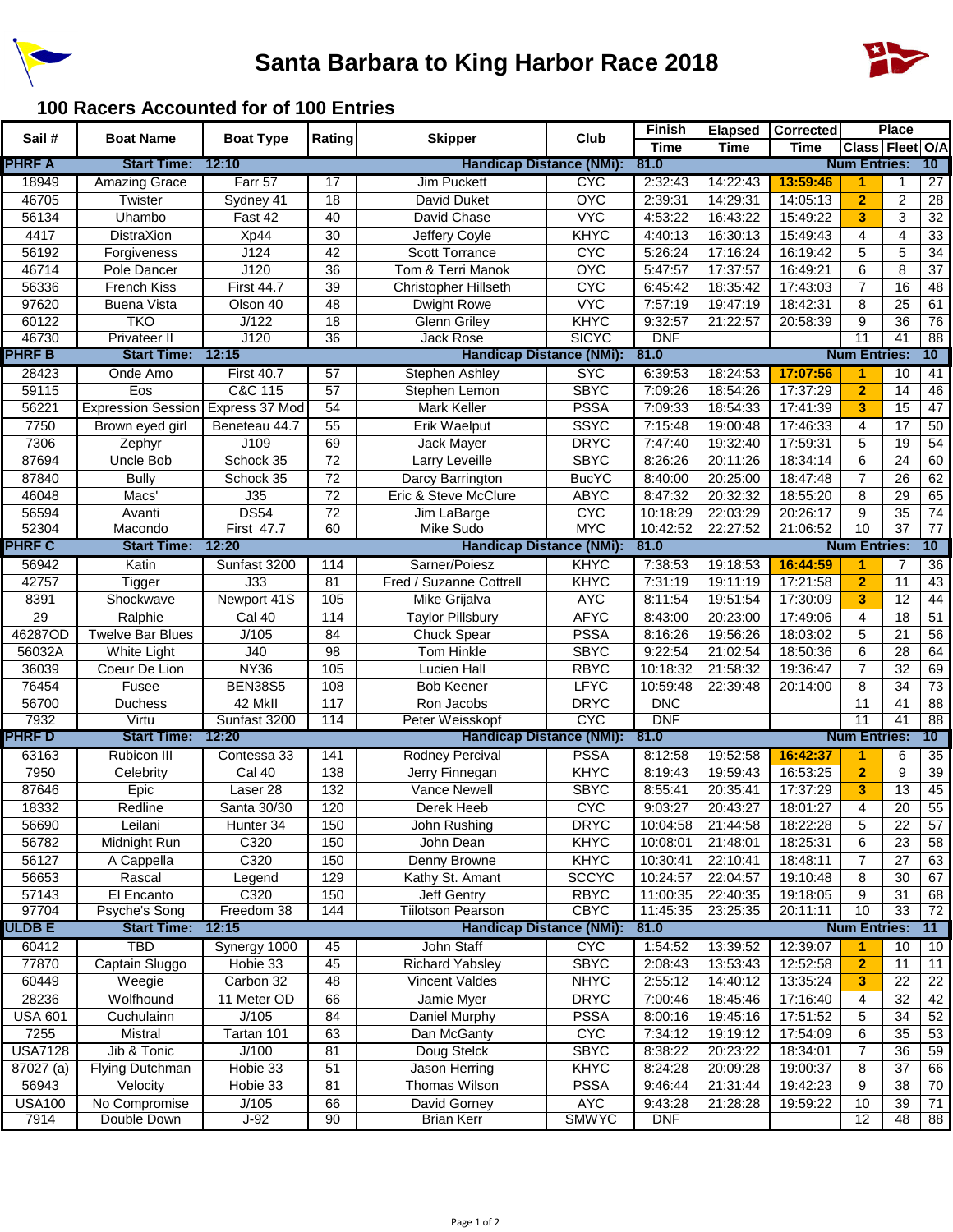



## **100 Racers Accounted for of 100 Entries**

| Sail #         | <b>Boat Name</b>                  | <b>Boat Type</b>  | Rating           | <b>Skipper</b>                  | Club                  | <b>Finish</b> | <b>Elapsed</b> | <b>Corrected</b> |                      | <b>Place</b>    |                 |
|----------------|-----------------------------------|-------------------|------------------|---------------------------------|-----------------------|---------------|----------------|------------------|----------------------|-----------------|-----------------|
|                |                                   |                   |                  |                                 |                       | <b>Time</b>   | <b>Time</b>    | <b>Time</b>      | Class Fleet O/A      |                 |                 |
| <b>PHRF A</b>  | <b>Start Time:</b>                | 12:10             |                  | <b>Handicap Distance (NMi):</b> |                       | 81.0          |                |                  | <b>Num Entries:</b>  |                 | 10              |
| 18949          | <b>Amazing Grace</b>              | Farr 57           | 17               | <b>Jim Puckett</b>              | <b>C<sub>A</sub>C</b> | 2:32:43       | 14:22:43       | 13:59:46         | 1                    | 1               | 27              |
| 46705          | Twister                           | Sydney 41         | 18               | David Duket                     | <b>OYC</b>            | 2:39:31       | 14:29:31       | 14:05:13         | $\overline{2}$       | $\overline{c}$  | $\overline{28}$ |
| 56134          | Uhambo                            | Fast 42           | 40               | David Chase                     | <b>VYC</b>            | 4:53:22       | 16:43:22       | 15:49:22         | 3                    | $\overline{3}$  | $\overline{32}$ |
| 4417           | <b>DistraXion</b>                 | Xp44              | 30               | Jeffery Coyle                   | <b>KHYC</b>           | 4:40:13       | 16:30:13       | 15:49:43         | 4                    | 4               | 33              |
| 56192          | Forgiveness                       | J124              | 42               | <b>Scott Torrance</b>           | <b>CYC</b>            | 5:26:24       | 17:16:24       | 16:19:42         | 5                    | 5               | 34              |
| 46714          | Pole Dancer                       | J120              | 36               | Tom & Terri Manok               | <b>OYC</b>            | 5:47:57       | 17:37:57       | 16:49:21         | 6                    | 8               | 37              |
| 56336          | French Kiss                       | <b>First 44.7</b> | 39               | <b>Christopher Hillseth</b>     | <b>CYC</b>            | 6:45:42       | 18:35:42       | 17:43:03         | $\overline{7}$       | 16              | 48              |
| 97620          | <b>Buena Vista</b>                | Olson 40          | 48               | Dwight Rowe                     | <b>VYC</b>            | 7:57:19       | 19:47:19       | 18:42:31         | 8                    | 25              | 61              |
| 60122          | <b>TKO</b>                        | J/122             | 18               | <b>Glenn Griley</b>             | <b>KHYC</b>           | 9:32:57       | 21:22:57       | 20:58:39         | 9                    | 36              | 76              |
| 46730          | Privateer II                      | J120              | $\overline{36}$  | <b>Jack Rose</b>                | <b>SICYC</b>          | <b>DNF</b>    |                |                  | 11                   | 41              | 88              |
| <b>PHRF B</b>  | <b>Start Time:</b>                | 12:15             |                  | <b>Handicap Distance (NMi):</b> |                       | 81.0          |                |                  | <b>Num Entries:</b>  |                 | 10              |
| 28423          | Onde Amo                          | <b>First 40.7</b> | 57               | <b>Stephen Ashley</b>           | <b>SYC</b>            | 6:39:53       | 18:24:53       | 17:07:56         | $\blacktriangleleft$ | $\overline{10}$ | 41              |
| 59115          | Eos                               | C&C 115           | 57               | Stephen Lemon                   | <b>SBYC</b>           | 7:09:26       | 18:54:26       | 17:37:29         | $\overline{2}$       | 14              | 46              |
| 56221          | Expression Session Express 37 Mod |                   | 54               | <b>Mark Keller</b>              | <b>PSSA</b>           | 7:09:33       | 18:54:33       | 17:41:39         | $\mathbf{3}$         | 15              | 47              |
| 7750           | Brown eyed girl                   | Beneteau 44.7     | 55               | Erik Waelput                    | <b>SSYC</b>           | 7:15:48       | 19:00:48       | 17:46:33         | 4                    | 17              | 50              |
| 7306           | Zephyr                            | J109              | 69               | Jack Mayer                      | <b>DRYC</b>           | 7:47:40       | 19:32:40       | 17:59:31         | 5                    | 19              | 54              |
| 87694          | Uncle Bob                         | Schock 35         | 72               | Larry Leveille                  | <b>SBYC</b>           | 8:26:26       | 20:11:26       | 18:34:14         | 6                    | 24              | 60              |
| 87840          | <b>Bully</b>                      | Schock 35         | 72               | Darcy Barrington                | <b>BucYC</b>          | 8:40:00       | 20:25:00       | 18:47:48         | 7                    | 26              | 62              |
| 46048          | Macs'                             | J35               | 72               | Eric & Steve McClure            | <b>ABYC</b>           | 8:47:32       | 20:32:32       | 18:55:20         | 8                    | 29              | 65              |
| 56594          | Avanti                            | <b>DS54</b>       | 72               | Jim LaBarge                     | <b>CYC</b>            | 10:18:29      | 22:03:29       | 20:26:17         | 9                    | 35              | $\overline{74}$ |
| 52304          | Macondo                           | <b>First 47.7</b> | 60               | Mike Sudo                       | <b>MYC</b>            | 10:42:52      | 22:27:52       | 21:06:52         | 10                   | 37              | $\overline{77}$ |
| <b>PHRF C</b>  | <b>Start Time:</b>                | 12:20             |                  | <b>Handicap Distance (NMi):</b> |                       | 81.0          |                |                  | <b>Num Entries:</b>  |                 | 10              |
| 56942          | Katin                             | Sunfast 3200      | 114              | Sarner/Poiesz                   | KHYC                  | 7:38:53       | 19:18:53       | 16:44:59         | 1                    | 7               | 36              |
| 42757          | Tigger                            | J33               | 81               | Fred / Suzanne Cottrell         | <b>KHYC</b>           | 7:31:19       | 19:11:19       | 17:21:58         | $\overline{2}$       | 11              | 43              |
| 8391           | Shockwave                         | Newport 41S       | 105              | Mike Grijalva                   | <b>AYC</b>            | 8:11:54       | 19:51:54       | 17:30:09         | 3                    | $\overline{12}$ | 44              |
| 29             | Ralphie                           | Cal 40            | 114              | <b>Taylor Pillsbury</b>         | <b>AFYC</b>           | 8:43:00       | 20:23:00       | 17:49:06         | 4                    | 18              | 51              |
| 46287OD        | <b>Twelve Bar Blues</b>           | J/105             | 84               | <b>Chuck Spear</b>              | <b>PSSA</b>           | 8:16:26       | 19:56:26       | 18:03:02         | 5                    | 21              | 56              |
| 56032A         | White Light                       | J40               | 98               | Tom Hinkle                      | <b>SBYC</b>           | 9:22:54       | 21:02:54       | 18:50:36         | 6                    | 28              | 64              |
| 36039          | Coeur De Lion                     | <b>NY36</b>       | 105              | Lucien Hall                     | <b>RBYC</b>           | 10:18:32      | 21:58:32       | 19:36:47         | 7                    | 32              | 69              |
| 76454          | Fusee                             | <b>BEN38S5</b>    | 108              | <b>Bob Keener</b>               | <b>LFYC</b>           | 10:59:48      | 22:39:48       | 20:14:00         | 8                    | 34              | 73              |
| 56700          | <b>Duchess</b>                    | 42 MkII           | 117              | Ron Jacobs                      | <b>DRYC</b>           | <b>DNC</b>    |                |                  | 11                   | 41              | 88              |
| 7932           | Virtu                             | Sunfast 3200      | 114              | Peter Weisskopf                 | <b>CYC</b>            | <b>DNF</b>    |                |                  | $\overline{11}$      | 41              | $\overline{88}$ |
| <b>PHRF D</b>  | <b>Start Time:</b>                | 12:20             |                  | <b>Handicap Distance (NMi):</b> |                       | 81.0          |                |                  | <b>Num Entries:</b>  |                 | 10              |
| 63163          | Rubicon III                       | Contessa 33       | 141              | <b>Rodney Percival</b>          | <b>PSSA</b>           | 8:12:58       | 19:52:58       | 16:42:37         | $\blacktriangleleft$ | 6               | 35              |
| 7950           | Celebrity                         | <b>Cal 40</b>     | 138              | Jerry Finnegan                  | <b>KHYC</b>           | 8:19:43       | 19:59:43       | 16:53:25         | $\overline{2}$       | 9               | 39              |
| 87646          | Epic                              | Laser 28          | $\overline{132}$ | Vance Newell                    | <b>SBYC</b>           | 8:55:41       | 20:35:41       | 17:37:29         | 3                    | $\overline{13}$ | 45              |
| 18332          | Redline                           | Santa 30/30       | 120              | Derek Heeb                      | <b>CYC</b>            | 9:03:27       | 20:43:27       | 18:01:27         | 4                    | 20              | 55              |
| 56690          | Leilani                           | Hunter 34         | 150              | John Rushing                    | <b>DRYC</b>           | 10:04:58      | 21:44:58       | 18:22:28         | 5                    | 22              | 57              |
| 56782          | Midnight Run                      | C320              | 150              | John Dean                       | <b>KHYC</b>           | 10:08:01      | 21:48:01       | 18:25:31         | 6                    | 23              | 58              |
| 56127          | A Cappella                        | C320              | 150              | Denny Browne                    | <b>KHYC</b>           | 10:30:41      | 22:10:41       | 18:48:11         | 7                    | 27              | 63              |
| 56653          | Rascal                            | Legend            | 129              | Kathy St. Amant                 | <b>SCCYC</b>          | 10:24:57      | 22:04:57       | 19:10:48         | 8                    | 30              | 67              |
| 57143          | El Encanto                        | C320              | 150              | Jeff Gentry                     | <b>RBYC</b>           | 11:00:35      | 22:40:35       | 19:18:05         | 9                    | 31              | 68              |
| 97704          | Psyche's Song                     | Freedom 38        | 144              | <b>Tiilotson Pearson</b>        | <b>CBYC</b>           | 11:45:35      | 23:25:35       | 20:11:11         | 10                   | 33              | 72              |
| ULDB E         | <b>Start Time:</b>                | 12:15             |                  | <b>Handicap Distance (NMi):</b> |                       | 81.0          |                |                  | <b>Num Entries:</b>  |                 | 11              |
| 60412          | <b>TBD</b>                        | Synergy 1000      | 45               | John Staff                      | <b>C<sub>A</sub>C</b> | 1:54:52       | 13:39:52       | 12:39:07         | 1                    | 10              | 10              |
| 77870          | Captain Sluggo                    | Hobie 33          | 45               | <b>Richard Yabsley</b>          | <b>SBYC</b>           | 2:08:43       | 13:53:43       | 12:52:58         | $\overline{2}$       | 11              | 11              |
| 60449          | Weegie                            | Carbon 32         | 48               | Vincent Valdes                  | <b>NHYC</b>           | 2:55:12       | 14:40:12       | 13:35:24         | 3                    | 22              | 22              |
| 28236          | Wolfhound                         | 11 Meter OD       | 66               | Jamie Myer                      | <b>DRYC</b>           | 7:00:46       | 18:45:46       | 17:16:40         | 4                    | 32              | 42              |
| <b>USA 601</b> | Cuchulainn                        | J/105             | 84               | Daniel Murphy                   | <b>PSSA</b>           | 8:00:16       | 19:45:16       | 17:51:52         | 5                    | 34              | 52              |
| 7255           | Mistral                           | Tartan 101        | 63               | Dan McGanty                     | <b>CYC</b>            | 7:34:12       | 19:19:12       | 17:54:09         | 6                    | 35              | 53              |
| <b>USA7128</b> | Jib & Tonic                       | J/100             | 81               | Doug Stelck                     | <b>SBYC</b>           | 8:38:22       | 20:23:22       | 18:34:01         | 7                    | 36              | 59              |
| 87027 (a)      | <b>Flying Dutchman</b>            | Hobie 33          | 51               | Jason Herring                   | <b>KHYC</b>           | 8:24:28       | 20:09:28       | 19:00:37         | 8                    | 37              | 66              |
| 56943          | Velocity                          | Hobie 33          | 81               | Thomas Wilson                   | <b>PSSA</b>           | 9:46:44       | 21:31:44       | 19:42:23         | 9                    | 38              | 70              |
| <b>USA100</b>  | No Compromise                     | J/105             | 66               | David Gorney                    | <b>AYC</b>            | 9:43:28       | 21:28:28       | 19:59:22         | 10                   | 39              | 71              |
| 7914           | Double Down                       | $J-92$            | 90               | <b>Brian Kerr</b>               | <b>SMWYC</b>          | <b>DNF</b>    |                |                  | 12                   | 48              | 88              |
|                |                                   |                   |                  |                                 |                       |               |                |                  |                      |                 |                 |